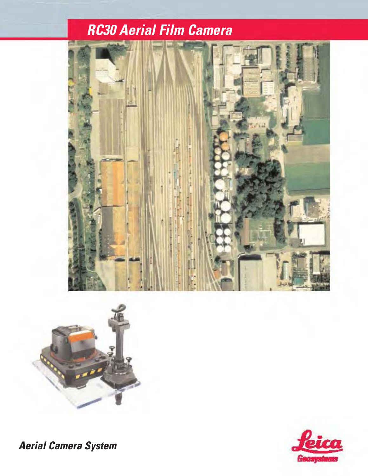## *RC30 Aerial Film Camera*





*Aerial Camera System*

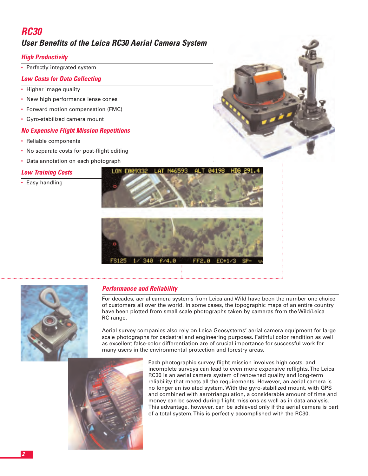## *RC30 User Benefits of the Leica RC30 Aerial Camera System*

#### *High Productivity*

• Perfectly integrated system

#### *Low Costs for Data Collecting*

- Higher image quality
- New high performance lense cones
- Forward motion compensation (FMC)
- Gyro-stabilized camera mount

#### *No Expensive Flight Mission Repetitions*

- Reliable components
- No separate costs for post-flight editing
- Data annotation on each photograph

#### *Low Training Costs*

• Easy handling





#### *Performance and Reliability*

For decades, aerial camera systems from Leica and Wild have been the number one choice of customers all over the world. In some cases, the topographic maps of an entire country have been plotted from small scale photographs taken by cameras from the Wild/Leica RC range.

Aerial survey companies also rely on Leica Geosystems' aerial camera equipment for large scale photographs for cadastral and engineering purposes. Faithful color rendition as well as excellent false-color differentiation are of crucial importance for successful work for many users in the environmental protection and forestry areas.



Each photographic survey flight mission involves high costs, and incomplete surveys can lead to even more expensive reflights. The Leica RC30 is an aerial camera system of renowned quality and long-term reliability that meets all the requirements. However, an aerial camera is no longer an isolated system. With the gyro-stabilized mount, with GPS and combined with aerotriangulation, a considerable amount of time and money can be saved during flight missions as well as in data analysis. This advantage, however, can be achieved only if the aerial camera is part of a total system. This is perfectly accomplished with the RC30.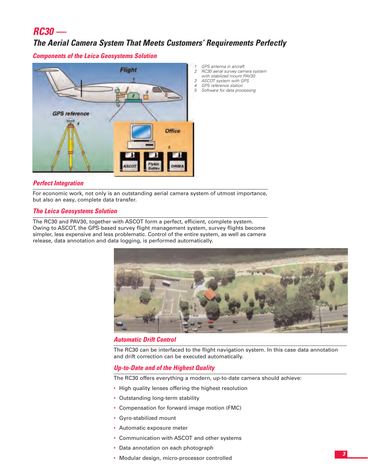## *RC30 —*

### *The Aerial Camera System That Meets Customers' Requirements Perfectly*

*Components of the Leica Geosystems Solution*



- *1 GPS antenna in aircraft*
- *2 RC30 aerial survey camera system with stabilized mount PAV30*
- *3 ASCOT system with GPS*
- *4 GPS reference station*
- *5 Software for data processing*

#### *Perfect Integration*

For economic work, not only is an outstanding aerial camera system of utmost importance, but also an easy, complete data transfer.

#### *The Leica Geosystems Solution*

The RC30 and PAV30, together with ASCOT form a perfect, efficient, complete system. Owing to ASCOT, the GPS-based survey flight management system, survey flights become simpler, less expensive and less problematic. Control of the entire system, as well as camera release, data annotation and data logging, is performed automatically.



#### *Automatic Drift Control*

The RC30 can be interfaced to the flight navigation system. In this case data annotation and drift correction can be executed automatically.

#### *Up-to-Date and of the Highest Quality*

The RC30 offers everything a modern, up-to-date camera should achieve:

- High quality lenses offering the highest resolution
- Outstanding long-term stability
- Compensation for forward image motion (FMC)
- Gyro-stabilized mount
- Automatic exposure meter
- Communication with ASCOT and other systems
- Data annotation on each photograph
- Modular design, micro-processor controlled *<sup>3</sup>*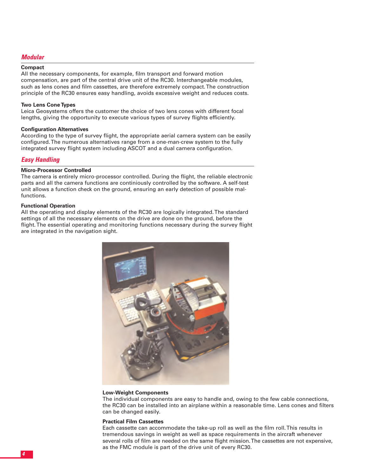#### *Modular*

#### **Compact**

All the necessary components, for example, film transport and forward motion compensation, are part of the central drive unit of the RC30. Interchangeable modules, such as lens cones and film cassettes, are therefore extremely compact. The construction principle of the RC30 ensures easy handling, avoids excessive weight and reduces costs.

#### **Two Lens Cone Types**

Leica Geosystems offers the customer the choice of two lens cones with different focal lengths, giving the opportunity to execute various types of survey flights efficiently.

#### **Configuration Alternatives**

According to the type of survey flight, the appropriate aerial camera system can be easily configured. The numerous alternatives range from a one-man-crew system to the fully integrated survey flight system including ASCOT and a dual camera configuration.

#### *Easy Handling*

#### **Micro-Processor Controlled**

The camera is entirely micro-processor controlled. During the flight, the reliable electronic parts and all the camera functions are continiously controlled by the software. A self-test unit allows a function check on the ground, ensuring an early detection of possible malfunctions.

#### **Functional Operation**

All the operating and display elements of the RC30 are logically integrated. The standard settings of all the necessary elements on the drive are done on the ground, before the flight. The essential operating and monitoring functions necessary during the survey flight are integrated in the navigation sight.



#### **Low-Weight Components**

The individual components are easy to handle and, owing to the few cable connections, the RC30 can be installed into an airplane within a reasonable time. Lens cones and filters can be changed easily.

#### **Practical Film Cassettes**

Each cassette can accommodate the take-up roll as well as the film roll. This results in tremendous savings in weight as well as space requirements in the aircraft whenever several rolls of film are needed on the same flight mission. The cassettes are not expensive, as the FMC module is part of the drive unit of every RC30.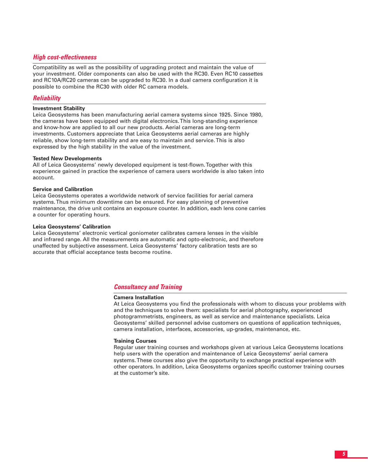#### *High cost-effectiveness*

Compatibility as well as the possibility of upgrading protect and maintain the value of your investment. Older components can also be used with the RC30. Even RC10 cassettes and RC10A/RC20 cameras can be upgraded to RC30. In a dual camera configuration it is possible to combine the RC30 with older RC camera models.

#### *Reliability*

#### **Investment Stability**

Leica Geosystems has been manufacturing aerial camera systems since 1925. Since 1980, the cameras have been equipped with digital electronics. This long-standing experience and know-how are applied to all our new products. Aerial cameras are long-term investments. Customers appreciate that Leica Geosystems aerial cameras are highly reliable, show long-term stability and are easy to maintain and service. This is also expressed by the high stability in the value of the investment.

#### **Tested New Developments**

All of Leica Geosystems' newly developed equipment is test-flown. Together with this experience gained in practice the experience of camera users worldwide is also taken into account.

#### **Service and Calibration**

Leica Geosystems operates a worldwide network of service facilities for aerial camera systems. Thus minimum downtime can be ensured. For easy planning of preventive maintenance, the drive unit contains an exposure counter. In addition, each lens cone carries a counter for operating hours.

#### **Leica Geosystems' Calibration**

Leica Geosystems' electronic vertical goniometer calibrates camera lenses in the visible and infrared range. All the measurements are automatic and opto-electronic, and therefore unaffected by subjective assessment. Leica Geosystems' factory calibration tests are so accurate that official acceptance tests become routine.

#### *Consultancy and Training*

#### **Camera Installation**

At Leica Geosystems you find the professionals with whom to discuss your problems with and the techniques to solve them: specialists for aerial photography, experienced photogrammetrists, engineers, as well as service and maintenance specialists. Leica Geosystems' skilled personnel advise customers on questions of application techniques, camera installation, interfaces, accessories, up-grades, maintenance, etc.

#### **Training Courses**

Regular user training courses and workshops given at various Leica Geosystems locations help users with the operation and maintenance of Leica Geosystems' aerial camera systems.These courses also give the opportunity to exchange practical experience with other operators. In addition, Leica Geosystems organizes specific customer training courses at the customer's site.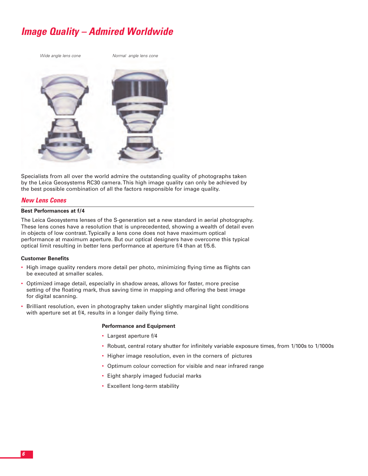## *Image Quality – Admired Worldwide*



Specialists from all over the world admire the outstanding quality of photographs taken by the Leica Geosystems RC30 camera. This high image quality can only be achieved by the best possible combination of all the factors responsible for image quality.

#### *New Lens Cones*

#### **Best Performances at f/4**

The Leica Geosystems lenses of the S-generation set a new standard in aerial photography. These lens cones have a resolution that is unprecedented, showing a wealth of detail even in objects of low contrast. Typically a lens cone does not have maximum optical performance at maximum aperture. But our optical designers have overcome this typical optical limit resulting in better lens performance at aperture f/4 than at f/5.6.

#### **Customer Benefits**

- High image quality renders more detail per photo, minimizing flying time as flights can be executed at smaller scales.
- Optimized image detail, especially in shadow areas, allows for faster, more precise setting of the floating mark, thus saving time in mapping and offering the best image for digital scanning.
- Brilliant resolution, even in photography taken under slightly marginal light conditions with aperture set at f/4, results in a longer daily flying time.

#### **Performance and Equipment**

- Largest aperture f/4
- Robust, central rotary shutter for infinitely variable exposure times, from 1/100s to 1/1000s
- Higher image resolution, even in the corners of pictures
- Optimum colour correction for visible and near infrared range
- Eight sharply imaged fuducial marks
- Excellent long-term stability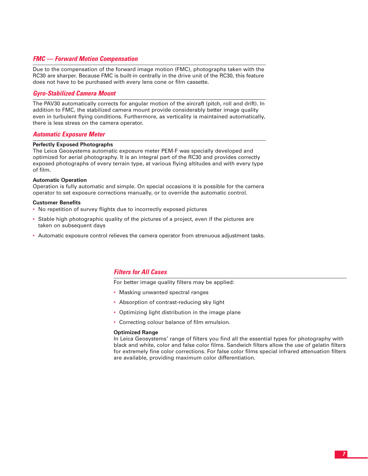#### *FMC — Forward Motion Compensation*

Due to the compensation of the forward image motion (FMC), photographs taken with the RC30 are sharper. Because FMC is built-in centrally in the drive unit of the RC30, this feature does not have to be purchased with every lens cone or film cassette.

#### *Gyro-Stabilized Camera Mount*

The PAV30 automatically corrects for angular motion of the aircraft (pitch, roll and drift). In addition to FMC, the stabilized camera mount provide considerably better image quality even in turbulent flying conditions. Furthermore, as verticality is maintained automatically, there is less stress on the camera operator.

#### *Automatic Exposure Meter*

#### **Perfectly Exposed Photographs**

The Leica Geosystems automatic exposure meter PEM-F was specially developed and optimized for aerial photography. It is an integral part of the RC30 and provides correctly exposed photographs of every terrain type, at various flying altitudes and with every type of film.

#### **Automatic Operation**

Operation is fully automatic and simple. On special occasions it is possible for the camera operator to set exposure corrections manually, or to override the automatic control.

#### **Customer Benefits**

- No repetition of survey flights due to incorrectly exposed pictures
- Stable high photographic quality of the pictures of a project, even if the pictures are taken on subsequent days
- Automatic exposure control relieves the camera operator from strenuous adjustment tasks.

#### *Filters for All Cases*

For better image quality filters may be applied:

- Masking unwanted spectral ranges
- Absorption of contrast-reducing sky light
- Optimizing light distribution in the image plane
- Correcting colour balance of film emulsion.

#### **Optimized Range**

In Leica Geosystems' range of filters you find all the essential types for photography with black and white, color and false color films. Sandwich filters allow the use of gelatin filters for extremely fine color corrections. For false color films special infrared attenuation filters are available, providing maximum color differentiation.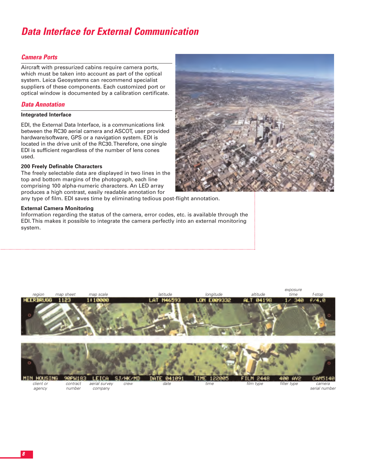## *Data Interface for External Communication*

#### *Camera Ports*

Aircraft with pressurized cabins require camera ports, which must be taken into account as part of the optical system. Leica Geosystems can recommend specialist suppliers of these components. Each customized port or optical window is documented by a calibration certificate.

#### *Data Annotation*

#### **Integrated Interface**

EDI, the External Data Interface, is a communications link between the RC30 aerial camera and ASCOT, user provided hardware/software, GPS or a navigation system. EDI is located in the drive unit of the RC30. Therefore, one single EDI is sufficient regardless of the number of lens cones used.

#### **200 Freely Definable Characters**

The freely selectable data are displayed in two lines in the top and bottom margins of the photograph, each line comprising 100 alpha-numeric characters. An LED array produces a high contrast, easily readable annotation for

any type of film. EDI saves time by eliminating tedious post-flight annotation.

#### **External Camera Monitoring**

Information regarding the status of the camera, error codes, etc. is available through the EDI. This makes it possible to integrate the camera perfectly into an external monitoring system.